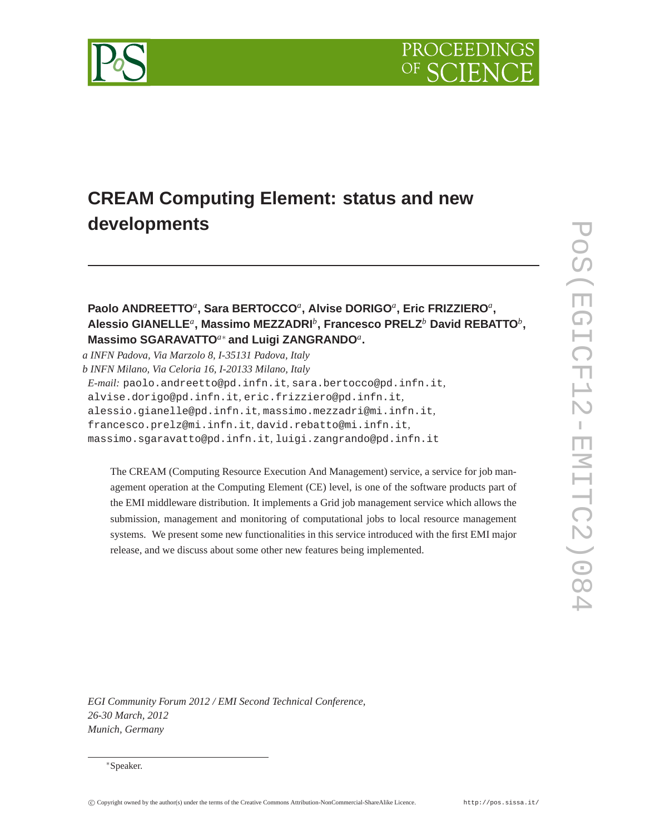

# **CREAM Computing Element: status and new developments**

## **Paolo ANDREETTO***<sup>a</sup>* **, Sara BERTOCCO***<sup>a</sup>* **, Alvise DORIGO***<sup>a</sup>* **, Eric FRIZZIERO***<sup>a</sup>* **, Alessio GIANELLE***<sup>a</sup>* **, Massimo MEZZADRI***<sup>b</sup>* **, Francesco PRELZ***<sup>b</sup>* **David REBATTO***<sup>b</sup>* **, Massimo SGARAVATTO***a*<sup>∗</sup> **and Luigi ZANGRANDO***<sup>a</sup>* **.**

*a INFN Padova, Via Marzolo 8, I-35131 Padova, Italy b INFN Milano, Via Celoria 16, I-20133 Milano, Italy E-mail:* paolo.andreetto@pd.infn.it*,* sara.bertocco@pd.infn.it*,* alvise.dorigo@pd.infn.it*,* eric.frizziero@pd.infn.it*,* alessio.gianelle@pd.infn.it*,* massimo.mezzadri@mi.infn.it*,* francesco.prelz@mi.infn.it*,* david.rebatto@mi.infn.it*,* massimo.sgaravatto@pd.infn.it*,* luigi.zangrando@pd.infn.it

The CREAM (Computing Resource Execution And Management) service, a service for job management operation at the Computing Element (CE) level, is one of the software products part of the EMI middleware distribution. It implements a Grid job management service which allows the submission, management and monitoring of computational jobs to local resource management systems. We present some new functionalities in this service introduced with the first EMI major release, and we discuss about some other new features being implemented.

*EGI Community Forum 2012 / EMI Second Technical Conference, 26-30 March, 2012 Munich, Germany*

<sup>∗</sup>Speaker.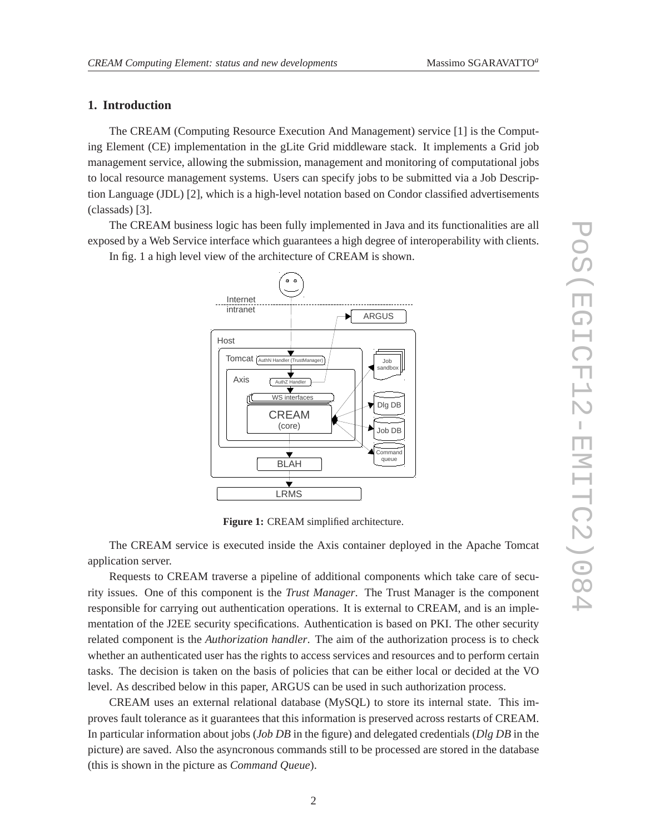### **1. Introduction**

The CREAM (Computing Resource Execution And Management) service [1] is the Computing Element (CE) implementation in the gLite Grid middleware stack. It implements a Grid job management service, allowing the submission, management and monitoring of computational jobs to local resource management systems. Users can specify jobs to be submitted via a Job Description Language (JDL) [2], which is a high-level notation based on Condor classified advertisements (classads) [3].

The CREAM business logic has been fully implemented in Java and its functionalities are all exposed by a Web Service interface which guarantees a high degree of interoperability with clients.

In fig. 1 a high level view of the architecture of CREAM is shown.



**Figure 1:** CREAM simplified architecture.

The CREAM service is executed inside the Axis container deployed in the Apache Tomcat application server.

Requests to CREAM traverse a pipeline of additional components which take care of security issues. One of this component is the *Trust Manager*. The Trust Manager is the component responsible for carrying out authentication operations. It is external to CREAM, and is an implementation of the J2EE security specifications. Authentication is based on PKI. The other security related component is the *Authorization handler*. The aim of the authorization process is to check whether an authenticated user has the rights to access services and resources and to perform certain tasks. The decision is taken on the basis of policies that can be either local or decided at the VO level. As described below in this paper, ARGUS can be used in such authorization process.

CREAM uses an external relational database (MySQL) to store its internal state. This improves fault tolerance as it guarantees that this information is preserved across restarts of CREAM. In particular information about jobs (*Job DB* in the figure) and delegated credentials (*Dlg DB* in the picture) are saved. Also the asyncronous commands still to be processed are stored in the database (this is shown in the picture as *Command Queue*).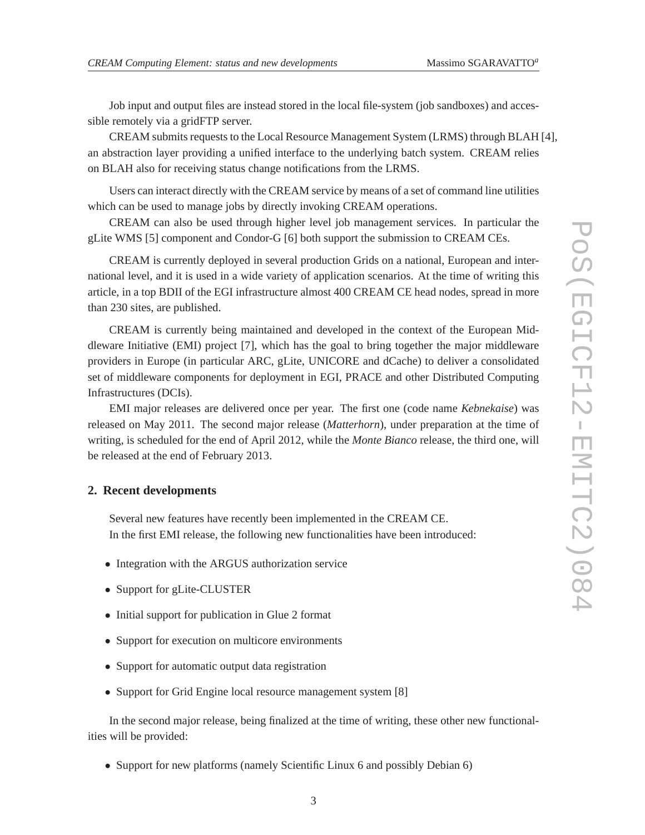Job input and output files are instead stored in the local file-system (job sandboxes) and accessible remotely via a gridFTP server.

CREAM submits requests to the Local Resource Management System (LRMS) through BLAH [4], an abstraction layer providing a unified interface to the underlying batch system. CREAM relies on BLAH also for receiving status change notifications from the LRMS.

Users can interact directly with the CREAM service by means of a set of command line utilities which can be used to manage jobs by directly invoking CREAM operations.

CREAM can also be used through higher level job management services. In particular the gLite WMS [5] component and Condor-G [6] both support the submission to CREAM CEs.

CREAM is currently deployed in several production Grids on a national, European and international level, and it is used in a wide variety of application scenarios. At the time of writing this article, in a top BDII of the EGI infrastructure almost 400 CREAM CE head nodes, spread in more than 230 sites, are published.

CREAM is currently being maintained and developed in the context of the European Middleware Initiative (EMI) project [7], which has the goal to bring together the major middleware providers in Europe (in particular ARC, gLite, UNICORE and dCache) to deliver a consolidated set of middleware components for deployment in EGI, PRACE and other Distributed Computing Infrastructures (DCIs).

EMI major releases are delivered once per year. The first one (code name *Kebnekaise*) was released on May 2011. The second major release (*Matterhorn*), under preparation at the time of writing, is scheduled for the end of April 2012, while the *Monte Bianco* release, the third one, will be released at the end of February 2013.

#### **2. Recent developments**

Several new features have recently been implemented in the CREAM CE. In the first EMI release, the following new functionalities have been introduced:

- Integration with the ARGUS authorization service
- Support for gLite-CLUSTER
- Initial support for publication in Glue 2 format
- Support for execution on multicore environments
- Support for automatic output data registration
- Support for Grid Engine local resource management system [8]

In the second major release, being finalized at the time of writing, these other new functionalities will be provided:

• Support for new platforms (namely Scientific Linux 6 and possibly Debian 6)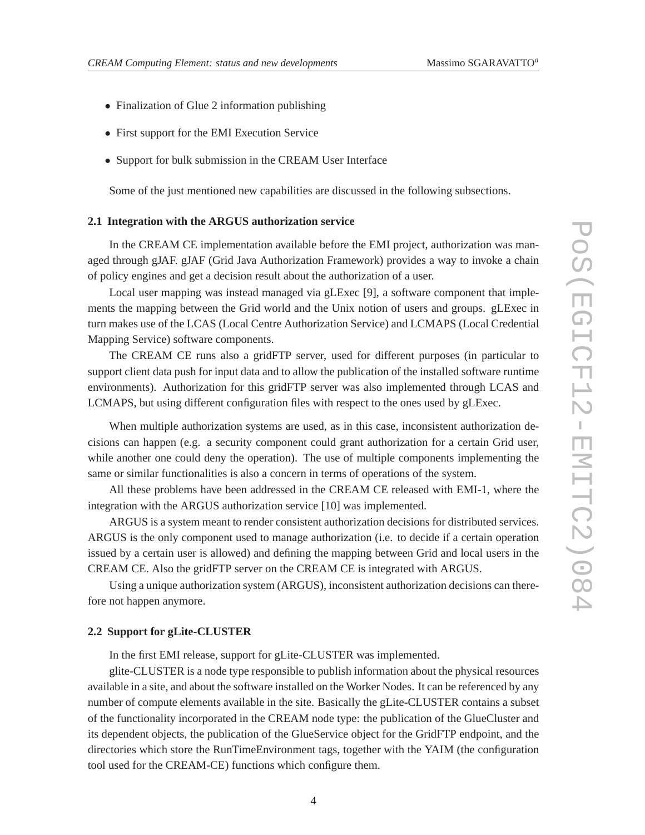- Finalization of Glue 2 information publishing
- First support for the EMI Execution Service
- Support for bulk submission in the CREAM User Interface

Some of the just mentioned new capabilities are discussed in the following subsections.

#### **2.1 Integration with the ARGUS authorization service**

In the CREAM CE implementation available before the EMI project, authorization was managed through gJAF. gJAF (Grid Java Authorization Framework) provides a way to invoke a chain of policy engines and get a decision result about the authorization of a user.

Local user mapping was instead managed via gLExec [9], a software component that implements the mapping between the Grid world and the Unix notion of users and groups. gLExec in turn makes use of the LCAS (Local Centre Authorization Service) and LCMAPS (Local Credential Mapping Service) software components.

The CREAM CE runs also a gridFTP server, used for different purposes (in particular to support client data push for input data and to allow the publication of the installed software runtime environments). Authorization for this gridFTP server was also implemented through LCAS and LCMAPS, but using different configuration files with respect to the ones used by gLExec.

When multiple authorization systems are used, as in this case, inconsistent authorization decisions can happen (e.g. a security component could grant authorization for a certain Grid user, while another one could deny the operation). The use of multiple components implementing the same or similar functionalities is also a concern in terms of operations of the system.

All these problems have been addressed in the CREAM CE released with EMI-1, where the integration with the ARGUS authorization service [10] was implemented.

ARGUS is a system meant to render consistent authorization decisions for distributed services. ARGUS is the only component used to manage authorization (i.e. to decide if a certain operation issued by a certain user is allowed) and defining the mapping between Grid and local users in the CREAM CE. Also the gridFTP server on the CREAM CE is integrated with ARGUS.

Using a unique authorization system (ARGUS), inconsistent authorization decisions can therefore not happen anymore.

#### **2.2 Support for gLite-CLUSTER**

In the first EMI release, support for gLite-CLUSTER was implemented.

glite-CLUSTER is a node type responsible to publish information about the physical resources available in a site, and about the software installed on the Worker Nodes. It can be referenced by any number of compute elements available in the site. Basically the gLite-CLUSTER contains a subset of the functionality incorporated in the CREAM node type: the publication of the GlueCluster and its dependent objects, the publication of the GlueService object for the GridFTP endpoint, and the directories which store the RunTimeEnvironment tags, together with the YAIM (the configuration tool used for the CREAM-CE) functions which configure them.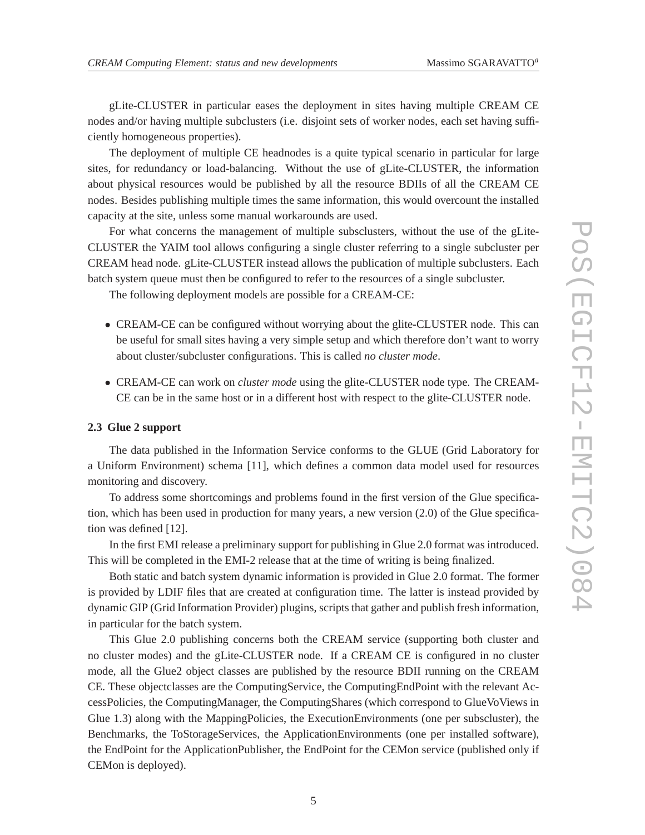gLite-CLUSTER in particular eases the deployment in sites having multiple CREAM CE nodes and/or having multiple subclusters (i.e. disjoint sets of worker nodes, each set having sufficiently homogeneous properties).

The deployment of multiple CE headnodes is a quite typical scenario in particular for large sites, for redundancy or load-balancing. Without the use of gLite-CLUSTER, the information about physical resources would be published by all the resource BDIIs of all the CREAM CE nodes. Besides publishing multiple times the same information, this would overcount the installed capacity at the site, unless some manual workarounds are used.

For what concerns the management of multiple subsclusters, without the use of the gLite-CLUSTER the YAIM tool allows configuring a single cluster referring to a single subcluster per CREAM head node. gLite-CLUSTER instead allows the publication of multiple subclusters. Each batch system queue must then be configured to refer to the resources of a single subcluster.

The following deployment models are possible for a CREAM-CE:

- CREAM-CE can be configured without worrying about the glite-CLUSTER node. This can be useful for small sites having a very simple setup and which therefore don't want to worry about cluster/subcluster configurations. This is called *no cluster mode*.
- CREAM-CE can work on *cluster mode* using the glite-CLUSTER node type. The CREAM-CE can be in the same host or in a different host with respect to the glite-CLUSTER node.

#### **2.3 Glue 2 support**

The data published in the Information Service conforms to the GLUE (Grid Laboratory for a Uniform Environment) schema [11], which defines a common data model used for resources monitoring and discovery.

To address some shortcomings and problems found in the first version of the Glue specification, which has been used in production for many years, a new version (2.0) of the Glue specification was defined [12].

In the first EMI release a preliminary support for publishing in Glue 2.0 format was introduced. This will be completed in the EMI-2 release that at the time of writing is being finalized.

Both static and batch system dynamic information is provided in Glue 2.0 format. The former is provided by LDIF files that are created at configuration time. The latter is instead provided by dynamic GIP (Grid Information Provider) plugins, scripts that gather and publish fresh information, in particular for the batch system.

This Glue 2.0 publishing concerns both the CREAM service (supporting both cluster and no cluster modes) and the gLite-CLUSTER node. If a CREAM CE is configured in no cluster mode, all the Glue2 object classes are published by the resource BDII running on the CREAM CE. These objectclasses are the ComputingService, the ComputingEndPoint with the relevant AccessPolicies, the ComputingManager, the ComputingShares (which correspond to GlueVoViews in Glue 1.3) along with the MappingPolicies, the ExecutionEnvironments (one per subscluster), the Benchmarks, the ToStorageServices, the ApplicationEnvironments (one per installed software), the EndPoint for the ApplicationPublisher, the EndPoint for the CEMon service (published only if CEMon is deployed).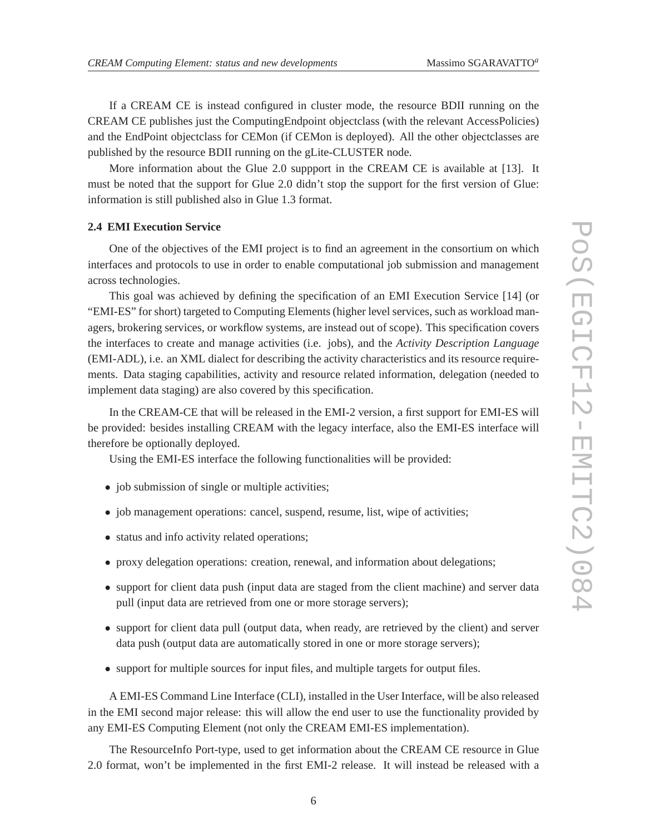If a CREAM CE is instead configured in cluster mode, the resource BDII running on the CREAM CE publishes just the ComputingEndpoint objectclass (with the relevant AccessPolicies) and the EndPoint objectclass for CEMon (if CEMon is deployed). All the other objectclasses are published by the resource BDII running on the gLite-CLUSTER node.

More information about the Glue 2.0 suppport in the CREAM CE is available at [13]. It must be noted that the support for Glue 2.0 didn't stop the support for the first version of Glue: information is still published also in Glue 1.3 format.

#### **2.4 EMI Execution Service**

One of the objectives of the EMI project is to find an agreement in the consortium on which interfaces and protocols to use in order to enable computational job submission and management across technologies.

This goal was achieved by defining the specification of an EMI Execution Service [14] (or "EMI-ES" for short) targeted to Computing Elements (higher level services, such as workload managers, brokering services, or workflow systems, are instead out of scope). This specification covers the interfaces to create and manage activities (i.e. jobs), and the *Activity Description Language* (EMI-ADL), i.e. an XML dialect for describing the activity characteristics and its resource requirements. Data staging capabilities, activity and resource related information, delegation (needed to implement data staging) are also covered by this specification.

In the CREAM-CE that will be released in the EMI-2 version, a first support for EMI-ES will be provided: besides installing CREAM with the legacy interface, also the EMI-ES interface will therefore be optionally deployed.

Using the EMI-ES interface the following functionalities will be provided:

- job submission of single or multiple activities;
- job management operations: cancel, suspend, resume, list, wipe of activities;
- status and info activity related operations;
- proxy delegation operations: creation, renewal, and information about delegations;
- support for client data push (input data are staged from the client machine) and server data pull (input data are retrieved from one or more storage servers);
- support for client data pull (output data, when ready, are retrieved by the client) and server data push (output data are automatically stored in one or more storage servers);
- support for multiple sources for input files, and multiple targets for output files.

A EMI-ES Command Line Interface (CLI), installed in the User Interface, will be also released in the EMI second major release: this will allow the end user to use the functionality provided by any EMI-ES Computing Element (not only the CREAM EMI-ES implementation).

The ResourceInfo Port-type, used to get information about the CREAM CE resource in Glue 2.0 format, won't be implemented in the first EMI-2 release. It will instead be released with a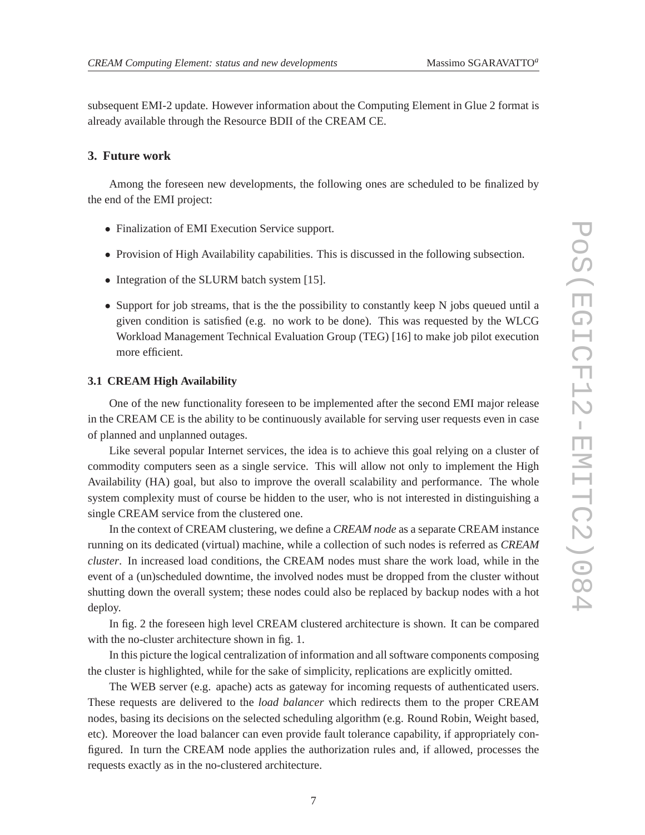subsequent EMI-2 update. However information about the Computing Element in Glue 2 format is already available through the Resource BDII of the CREAM CE.

#### **3. Future work**

Among the foreseen new developments, the following ones are scheduled to be finalized by the end of the EMI project:

- Finalization of EMI Execution Service support.
- Provision of High Availability capabilities. This is discussed in the following subsection.
- Integration of the SLURM batch system [15].
- Support for job streams, that is the the possibility to constantly keep N jobs queued until a given condition is satisfied (e.g. no work to be done). This was requested by the WLCG Workload Management Technical Evaluation Group (TEG) [16] to make job pilot execution more efficient.

#### **3.1 CREAM High Availability**

One of the new functionality foreseen to be implemented after the second EMI major release in the CREAM CE is the ability to be continuously available for serving user requests even in case of planned and unplanned outages.

Like several popular Internet services, the idea is to achieve this goal relying on a cluster of commodity computers seen as a single service. This will allow not only to implement the High Availability (HA) goal, but also to improve the overall scalability and performance. The whole system complexity must of course be hidden to the user, who is not interested in distinguishing a single CREAM service from the clustered one.

In the context of CREAM clustering, we define a *CREAM node* as a separate CREAM instance running on its dedicated (virtual) machine, while a collection of such nodes is referred as *CREAM cluster*. In increased load conditions, the CREAM nodes must share the work load, while in the event of a (un)scheduled downtime, the involved nodes must be dropped from the cluster without shutting down the overall system; these nodes could also be replaced by backup nodes with a hot deploy.

In fig. 2 the foreseen high level CREAM clustered architecture is shown. It can be compared with the no-cluster architecture shown in fig. 1.

In this picture the logical centralization of information and all software components composing the cluster is highlighted, while for the sake of simplicity, replications are explicitly omitted.

The WEB server (e.g. apache) acts as gateway for incoming requests of authenticated users. These requests are delivered to the *load balancer* which redirects them to the proper CREAM nodes, basing its decisions on the selected scheduling algorithm (e.g. Round Robin, Weight based, etc). Moreover the load balancer can even provide fault tolerance capability, if appropriately configured. In turn the CREAM node applies the authorization rules and, if allowed, processes the requests exactly as in the no-clustered architecture.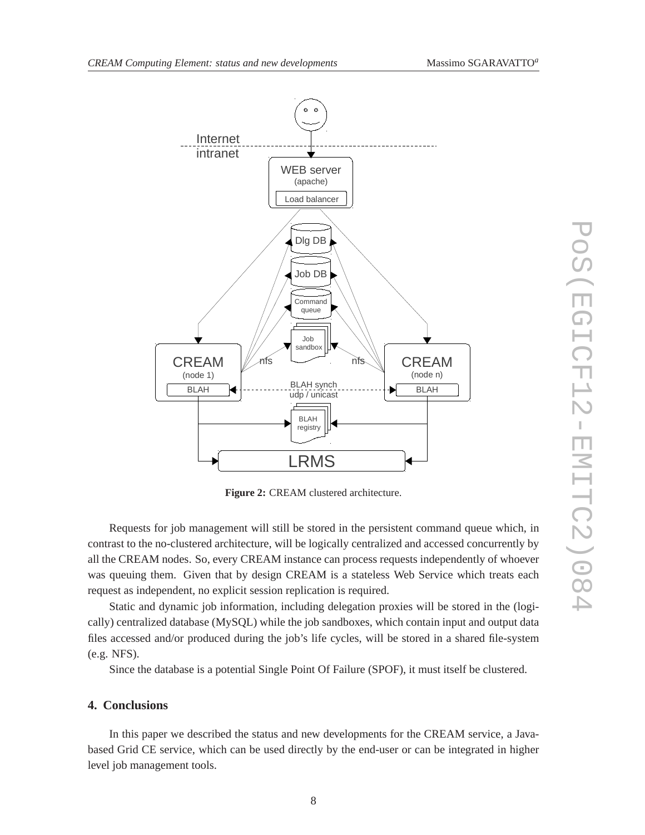

**Figure 2:** CREAM clustered architecture.

Requests for job management will still be stored in the persistent command queue which, in contrast to the no-clustered architecture, will be logically centralized and accessed concurrently by all the CREAM nodes. So, every CREAM instance can process requests independently of whoever was queuing them. Given that by design CREAM is a stateless Web Service which treats each request as independent, no explicit session replication is required.

Static and dynamic job information, including delegation proxies will be stored in the (logically) centralized database (MySQL) while the job sandboxes, which contain input and output data files accessed and/or produced during the job's life cycles, will be stored in a shared file-system (e.g. NFS).

Since the database is a potential Single Point Of Failure (SPOF), it must itself be clustered.

#### **4. Conclusions**

In this paper we described the status and new developments for the CREAM service, a Javabased Grid CE service, which can be used directly by the end-user or can be integrated in higher level job management tools.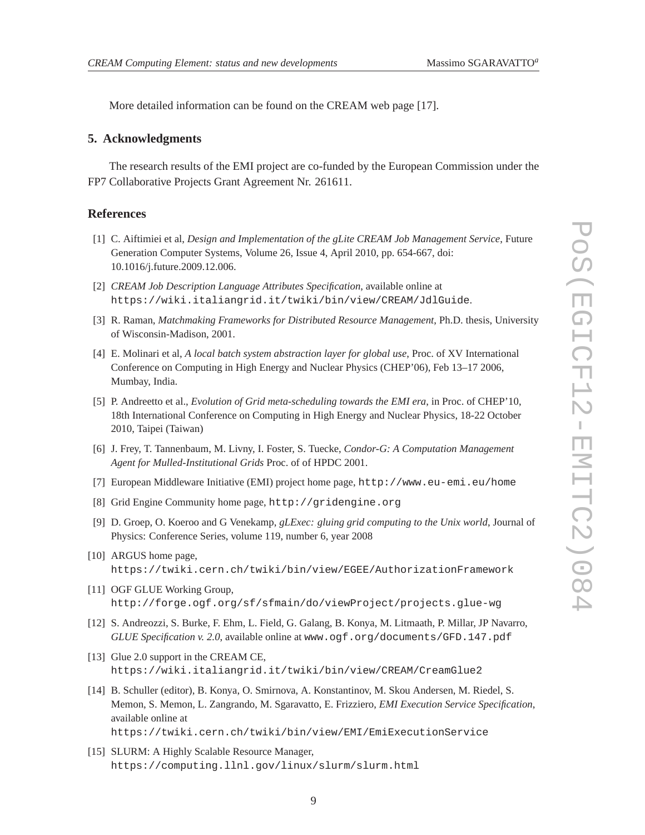More detailed information can be found on the CREAM web page [17].

#### **5. Acknowledgments**

The research results of the EMI project are co-funded by the European Commission under the FP7 Collaborative Projects Grant Agreement Nr. 261611.

#### **References**

- [1] C. Aiftimiei et al, *Design and Implementation of the gLite CREAM Job Management Service*, Future Generation Computer Systems, Volume 26, Issue 4, April 2010, pp. 654-667, doi: 10.1016/j.future.2009.12.006.
- [2] *CREAM Job Description Language Attributes Specification*, available online at https://wiki.italiangrid.it/twiki/bin/view/CREAM/JdlGuide.
- [3] R. Raman, *Matchmaking Frameworks for Distributed Resource Management*, Ph.D. thesis, University of Wisconsin-Madison, 2001.
- [4] E. Molinari et al, *A local batch system abstraction layer for global use*, Proc. of XV International Conference on Computing in High Energy and Nuclear Physics (CHEP'06), Feb 13–17 2006, Mumbay, India.
- [5] P. Andreetto et al., *Evolution of Grid meta-scheduling towards the EMI era*, in Proc. of CHEP'10, 18th International Conference on Computing in High Energy and Nuclear Physics, 18-22 October 2010, Taipei (Taiwan)
- [6] J. Frey, T. Tannenbaum, M. Livny, I. Foster, S. Tuecke, *Condor-G: A Computation Management Agent for Mulled-Institutional Grids* Proc. of of HPDC 2001.
- [7] European Middleware Initiative (EMI) project home page, http://www.eu-emi.eu/home
- [8] Grid Engine Community home page, http://gridengine.org
- [9] D. Groep, O. Koeroo and G Venekamp, *gLExec: gluing grid computing to the Unix world*, Journal of Physics: Conference Series, volume 119, number 6, year 2008
- [10] ARGUS home page, https://twiki.cern.ch/twiki/bin/view/EGEE/AuthorizationFramework
- [11] OGF GLUE Working Group, http://forge.ogf.org/sf/sfmain/do/viewProject/projects.glue-wg
- [12] S. Andreozzi, S. Burke, F. Ehm, L. Field, G. Galang, B. Konya, M. Litmaath, P. Millar, JP Navarro, *GLUE Specification v. 2.0*, available online at www.ogf.org/documents/GFD.147.pdf
- [13] Glue 2.0 support in the CREAM CE, https://wiki.italiangrid.it/twiki/bin/view/CREAM/CreamGlue2
- [14] B. Schuller (editor), B. Konya, O. Smirnova, A. Konstantinov, M. Skou Andersen, M. Riedel, S. Memon, S. Memon, L. Zangrando, M. Sgaravatto, E. Frizziero, *EMI Execution Service Specification*, available online at

https://twiki.cern.ch/twiki/bin/view/EMI/EmiExecutionService

[15] SLURM: A Highly Scalable Resource Manager, https://computing.llnl.gov/linux/slurm/slurm.html